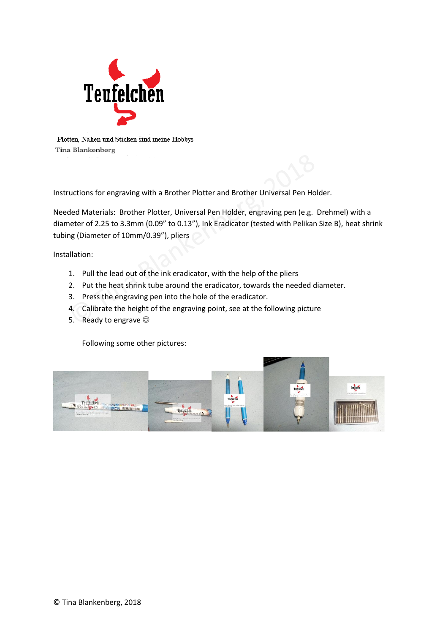

Plotten, Nähen und Sticken sind meine Hobbys Tina Blankenberg

Instructions for engraving with a Brother Plotter and Brother Universal Pen Holder.

Needed Materials: Brother Plotter, Universal Pen Holder, engraving pen (e.g. Drehmel) with a diameter of 2.25 to 3.3mm (0.09" to 0.13"), Ink Eradicator (tested with Pelikan Size B), heat shrink tubing (Diameter of 10mm/0.39"), pliers

Installation:

- 1. Pull the lead out of the ink eradicator, with the help of the pliers
- 2. Put the heat shrink tube around the eradicator, towards the needed diameter.
- 3. Press the engraving pen into the hole of the eradicator.
- 4. Calibrate the height of the engraving point, see at the following picture
- 5. Ready to engrave

Following some other pictures: